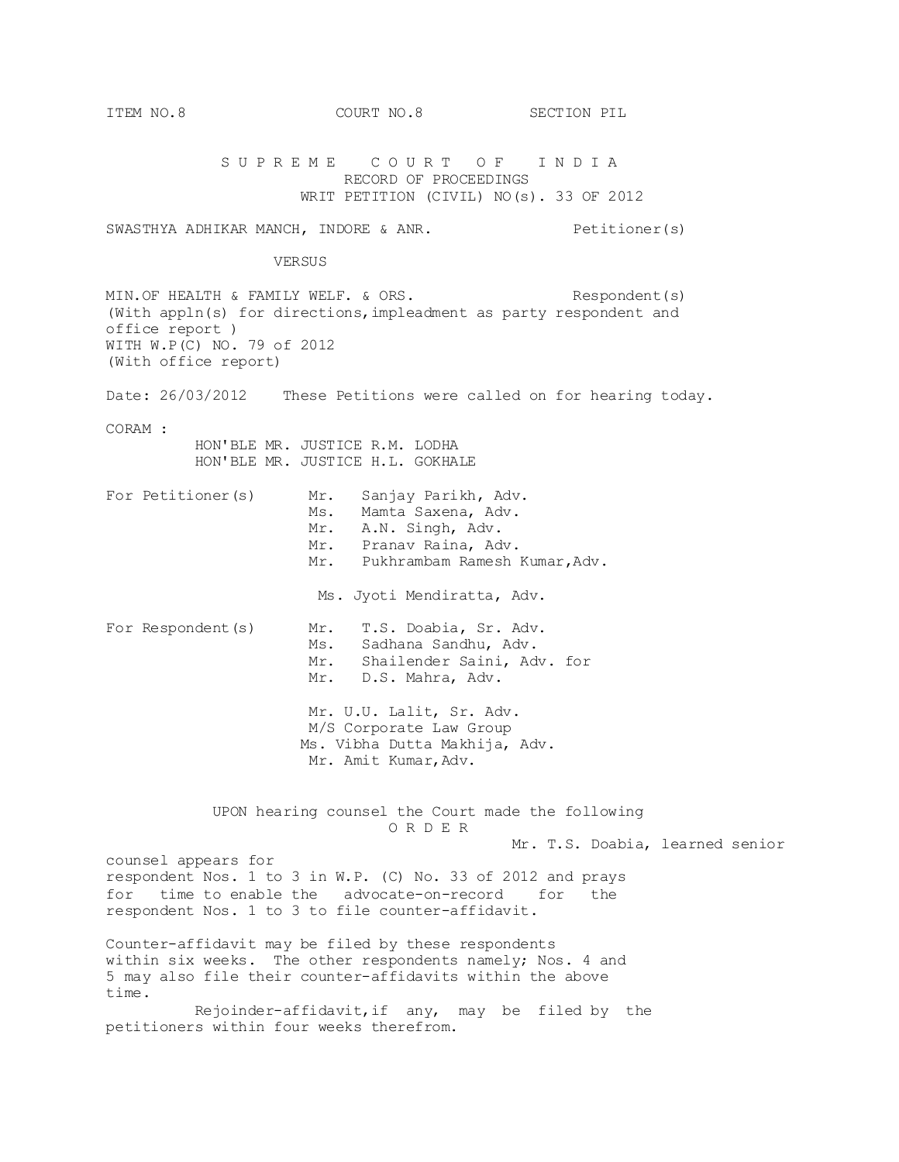SUPREME COURT OF INDIA RECORD OF PROCEEDINGS WRIT PETITION (CIVIL) NO(s). 33 OF 2012 SWASTHYA ADHIKAR MANCH, INDORE & ANR. Petitioner(s) VERSUS MIN. OF HEALTH & FAMILY WELF. & ORS. Respondent(s) (With appln(s) for directions,impleadment as party respondent and office report ) WITH W.P(C) NO. 79 of 2012 (With office report) Date: 26/03/2012 These Petitions were called on for hearing today. CORAM : HON'BLE MR. JUSTICE R.M. LODHA HON'BLE MR. JUSTICE H.L. GOKHALE For Petitioner(s) Mr. Sanjay Parikh, Adv. Ms. Mamta Saxena, Adv. Mr. A.N. Singh, Adv. Mr. Pranav Raina, Adv. Mr. Pukhrambam Ramesh Kumar,Adv. Ms. Jyoti Mendiratta, Adv. For Respondent(s) Mr. T.S. Doabia, Sr. Adv. Ms. Sadhana Sandhu, Adv. Mr. Shailender Saini, Adv. for Mr. D.S. Mahra, Adv. Mr. U.U. Lalit, Sr. Adv. M/S Corporate Law Group Ms. Vibha Dutta Makhija, Adv. Mr. Amit Kumar, Adv. UPON hearing counsel the Court made the following O R D E R Mr. T.S. Doabia, learned senior counsel appears for respondent Nos. 1 to 3 in W.P. (C) No. 33 of 2012 and prays for time to enable the advocate-on-record for the respondent Nos. 1 to 3 to file counter-affidavit. Counter-affidavit may be filed by these respondents within six weeks. The other respondents namely; Nos. 4 and 5 may also file their counter-affidavits within the above time. Rejoinder-affidavit,if any, may be filed by the petitioners within four weeks therefrom.

ITEM NO.8 COURT NO.8 SECTION PIL